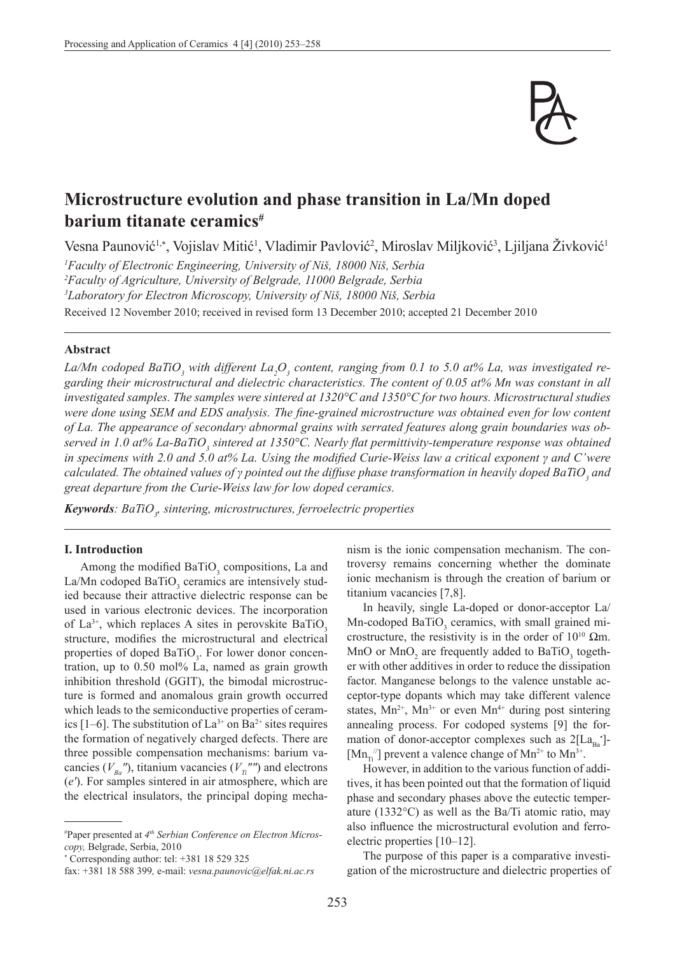

# **Microstructure evolution and phase transition in La/Mn doped barium titanate ceramics#**

Vesna Paunović<sup>1,∗</sup>, Vojislav Mitić<sup>1</sup>, Vladimir Pavlović<sup>2</sup>, Miroslav Miljković<sup>3</sup>, Ljiljana Živković<sup>1</sup>

 *Faculty of Electronic Engineering, University of Niš, 18000 Niš, Serbia Faculty of Agriculture, University of Belgrade, 11000 Belgrade, Serbia Laboratory for Electron Microscopy, University of Niš, 18000 Niš, Serbia* Received 12 November 2010; received in revised form 13 December 2010; accepted 21 December 2010

## **Abstract**

La/Mn codoped BaTiO<sub>3</sub> with different La<sub>2</sub>O<sub>3</sub> content, ranging from 0.1 to 5.0 at% La, was investigated re*garding their microstructural and dielectric characteristics. The content of 0.05 at% Mn was constant in all investigated samples. The samples were sintered at 1320°C and 1350°C for two hours. Microstructural studies were done using SEM and EDS analysis. The fine-grained microstructure was obtained even for low content of La. The appearance of secondary abnormal grains with serrated features along grain boundaries was ob*served in 1.0 at% La-BaTiO<sub>3</sub> sintered at 1350°C. Nearly flat permittivity-temperature response was obtained *in specimens with 2.0 and 5.0 at% La. Using the modified Curie-Weiss law a critical exponent γ and C'were calculated. The obtained values of γ pointed out the diffuse phase transformation in heavily doped BaTiO<sup>3</sup> and great departure from the Curie-Weiss law for low doped ceramics.*

*Keywords: BaTiO3 , sintering, microstructures, ferroelectric properties*

### **I. Introduction**

Among the modified  $BaTiO<sub>3</sub>$  compositions, La and La/Mn codoped  $BaTiO<sub>3</sub>$  ceramics are intensively studied because their attractive dielectric response can be used in various electronic devices. The incorporation of  $La^{3+}$ , which replaces A sites in perovskite BaTiO<sub>2</sub> structure, modifies the microstructural and electrical properties of doped BaTiO<sub>3</sub>. For lower donor concentration, up to 0.50 mol% La, named as grain growth inhibition threshold (GGIT), the bimodal microstructure is formed and anomalous grain growth occurred which leads to the semiconductive properties of ceramics [1–6]. The substitution of  $La^{3+}$  on  $Ba^{2+}$  sites requires the formation of negatively charged defects. There are three possible compensation mechanisms: barium vacancies ( $V_{Ba}$ <sup>*n*</sup>), titanium vacancies ( $V_{Ta}$ <sup>*nn*</sup>) and electrons (*e′*). For samples sintered in air atmosphere, which are the electrical insulators, the principal doping mecha-

\* Corresponding author: tel: +381 18 529 325

nism is the ionic compensation mechanism. The controversy remains concerning whether the dominate ionic mechanism is through the creation of barium or titanium vacancies [7,8].

In heavily, single La-doped or donor-acceptor La/  $Mn$ -codoped BaTiO<sub>3</sub> ceramics, with small grained microstructure, the resistivity is in the order of  $10^{10}$   $\Omega$ m. MnO or  $MnO_2$  are frequently added to BaTiO<sub>3</sub> together with other additives in order to reduce the dissipation factor. Manganese belongs to the valence unstable acceptor-type dopants which may take different valence states,  $Mn^{2+}$ ,  $Mn^{3+}$  or even  $Mn^{4+}$  during post sintering annealing process. For codoped systems [9] the formation of donor-acceptor complexes such as  $2[La_{Ba}]$ -[ $Mn_{Ti}$ <sup>"</sup>] prevent a valence change of  $Mn^{2+}$  to  $Mn^{3+}$ .

However, in addition to the various function of additives, it has been pointed out that the formation of liquid phase and secondary phases above the eutectic temperature (1332°C) as well as the Ba/Ti atomic ratio, may also influence the microstructural evolution and ferroelectric properties [10–12].

The purpose of this paper is a comparative investigation of the microstructure and dielectric properties of

<sup>#</sup> Paper presented at *4th Serbian Conference on Electron Microscopy,* Belgrade, Serbia, 2010

fax: +381 18 588 399*,* e-mail: *vesna.paunovic@elfak.ni.ac.rs*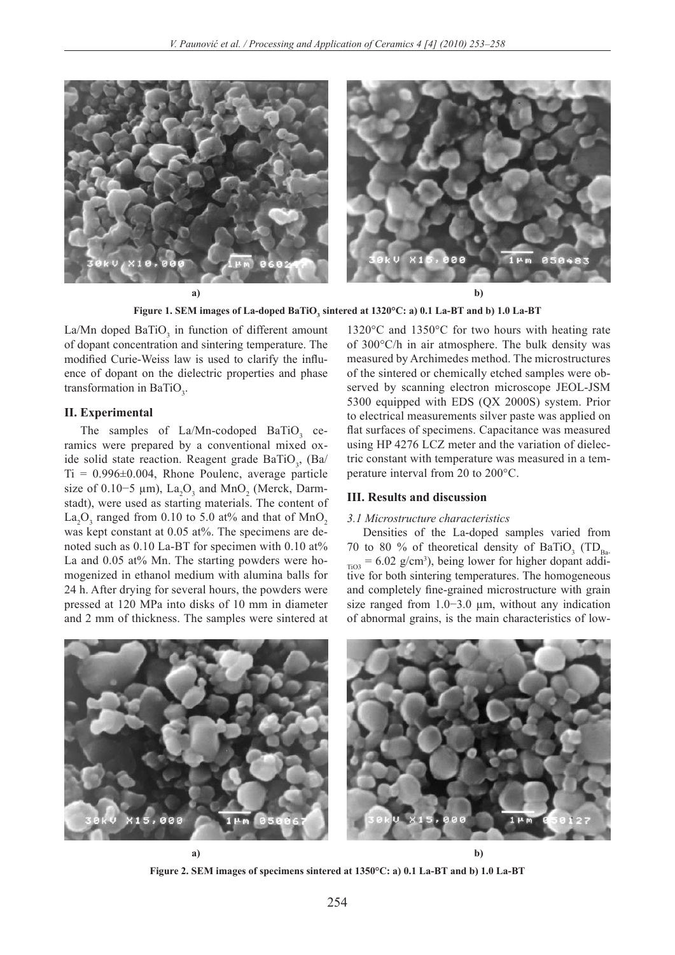

Figure 1. SEM images of La-doped BaTiO<sub>3</sub> sintered at 1320°C: a) 0.1 La-BT and b) 1.0 La-BT

La/Mn doped  $BaTiO<sub>3</sub>$  in function of different amount of dopant concentration and sintering temperature. The modified Curie-Weiss law is used to clarify the influence of dopant on the dielectric properties and phase transformation in BaTiO<sub>3</sub>.

### **II. Experimental**

The samples of  $La/Mn$ -codoped  $BaTiO<sub>3</sub>$  ceramics were prepared by a conventional mixed oxide solid state reaction. Reagent grade  $BaTiO<sub>3</sub>$ , (Ba/  $Ti = 0.996 \pm 0.004$ , Rhone Poulenc, average particle size of 0.10–5  $\mu$ m), La<sub>2</sub>O<sub>3</sub> and MnO<sub>2</sub> (Merck, Darmstadt), were used as starting materials. The content of  $\text{La}_2\text{O}_3$  ranged from 0.10 to 5.0 at% and that of  $\text{MnO}_2$ was kept constant at 0.05 at%. The specimens are denoted such as 0.10 La-BT for specimen with 0.10 at% La and  $0.05$  at% Mn. The starting powders were homogenized in ethanol medium with alumina balls for 24 h. After drying for several hours, the powders were pressed at 120 MPa into disks of 10 mm in diameter and 2 mm of thickness. The samples were sintered at

1320°C and 1350°C for two hours with heating rate of 300°C/h in air atmosphere. The bulk density was measured by Archimedes method. The microstructures of the sintered or chemically etched samples were observed by scanning electron microscope JEOL-JSM 5300 equipped with EDS (QX 2000S) system. Prior to electrical measurements silver paste was applied on flat surfaces of specimens. Capacitance was measured using HP 4276 LCZ meter and the variation of dielectric constant with temperature was measured in a temperature interval from 20 to 200°C.

## **III. Results and discussion**

#### *3.1 Microstructure characteristics*

Densities of the La-doped samples varied from 70 to 80 % of theoretical density of BaTiO<sub>3</sub> (TD<sub>Ba-</sub>  $_{\text{TiO3}}$  = 6.02 g/cm<sup>3</sup>), being lower for higher dopant additive for both sintering temperatures. The homogeneous and completely fine-grained microstructure with grain size ranged from 1.0−3.0 µm, without any indication of abnormal grains, is the main characteristics of low-



**Figure 2. SEM images of specimens sintered at 1350°C: a) 0.1 La-BT and b) 1.0 La-BT**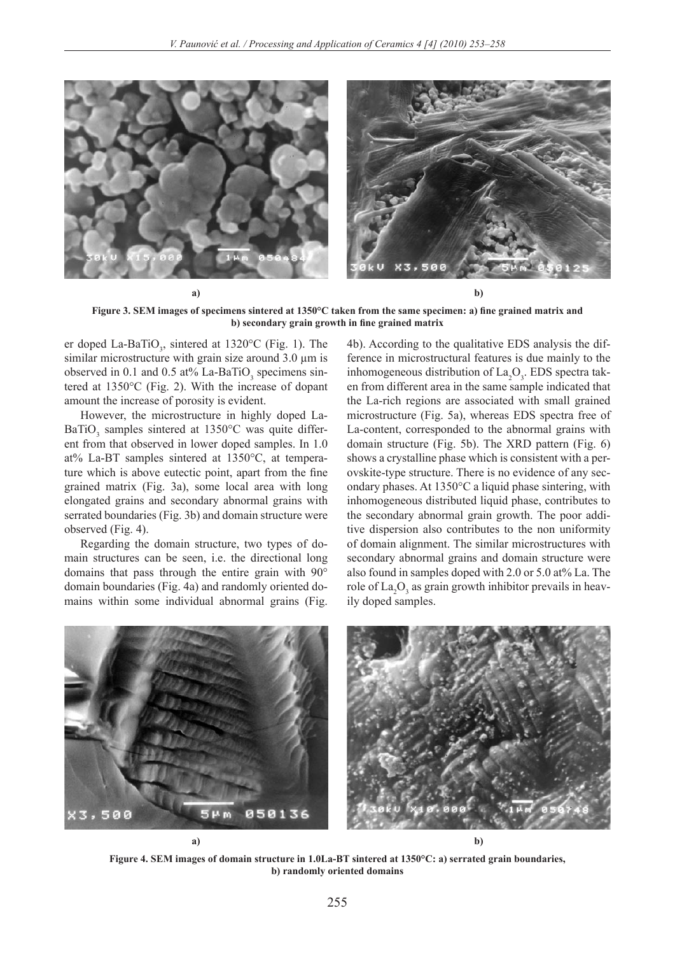

**Figure 3. SEM images of specimens sintered at 1350°C taken from the same specimen: a) fine grained matrix and b) secondary grain growth in fine grained matrix**

er doped La-BaTiO<sub>3</sub>, sintered at 1320 $^{\circ}$ C (Fig. 1). The similar microstructure with grain size around  $3.0 \mu m$  is observed in 0.1 and 0.5 at% La-BaTiO<sub>3</sub> specimens sintered at 1350°C (Fig. 2). With the increase of dopant amount the increase of porosity is evident.

However, the microstructure in highly doped La-BaTiO<sub>3</sub> samples sintered at 1350°C was quite different from that observed in lower doped samples. In 1.0 at% La-BT samples sintered at 1350°C, at temperature which is above eutectic point, apart from the fine grained matrix (Fig. 3a), some local area with long elongated grains and secondary abnormal grains with serrated boundaries (Fig. 3b) and domain structure were observed (Fig. 4).

Regarding the domain structure, two types of domain structures can be seen, i.e. the directional long domains that pass through the entire grain with 90° domain boundaries (Fig. 4a) and randomly oriented domains within some individual abnormal grains (Fig. 4b). According to the qualitative EDS analysis the difference in microstructural features is due mainly to the inhomogeneous distribution of  $La_2O_3$ . EDS spectra taken from different area in the same sample indicated that the La-rich regions are associated with small grained microstructure (Fig. 5a), whereas EDS spectra free of La-content, corresponded to the abnormal grains with domain structure (Fig. 5b). The XRD pattern (Fig. 6) shows a crystalline phase which is consistent with a perovskite-type structure. There is no evidence of any secondary phases. At 1350°C a liquid phase sintering, with inhomogeneous distributed liquid phase, contributes to the secondary abnormal grain growth. The poor additive dispersion also contributes to the non uniformity of domain alignment. The similar microstructures with secondary abnormal grains and domain structure were also found in samples doped with 2.0 or 5.0 at% La. The role of  $\text{La}_2\text{O}_3$  as grain growth inhibitor prevails in heavily doped samples.



**Figure 4. SEM images of domain structure in 1.0La-BT sintered at 1350°C: a) serrated grain boundaries, b) randomly oriented domains**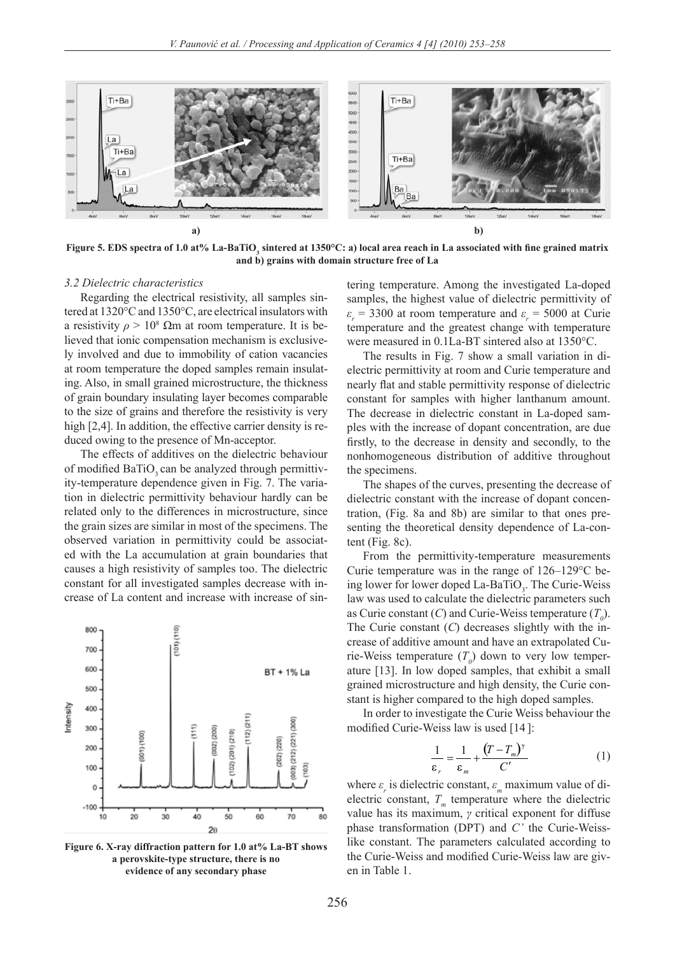

Figure 5. EDS spectra of 1.0 at% La-BaTiO<sub>3</sub> sintered at 1350°C: a) local area reach in La associated with fine grained matrix **and b) grains with domain structure free of La**

#### *3.2 Dielectric characteristics*

Regarding the electrical resistivity, all samples sintered at 1320°C and 1350°C, are electrical insulators with a resistivity  $\rho > 10^8$  Ωm at room temperature. It is believed that ionic compensation mechanism is exclusively involved and due to immobility of cation vacancies at room temperature the doped samples remain insulating. Also, in small grained microstructure, the thickness of grain boundary insulating layer becomes comparable to the size of grains and therefore the resistivity is very high [2,4]. In addition, the effective carrier density is reduced owing to the presence of Mn-acceptor.

The effects of additives on the dielectric behaviour of modified BaTiO<sub>2</sub> can be analyzed through permittivity-temperature dependence given in Fig. 7. The variation in dielectric permittivity behaviour hardly can be related only to the differences in microstructure, since the grain sizes are similar in most of the specimens. The observed variation in permittivity could be associated with the La accumulation at grain boundaries that causes a high resistivity of samples too. The dielectric constant for all investigated samples decrease with increase of La content and increase with increase of sin-



**Figure 6. X-ray diffraction pattern for 1.0 at% La-BT shows a perovskite-type structure, there is no evidence of any secondary phase**

tering temperature. Among the investigated La-doped samples, the highest value of dielectric permittivity of  $\varepsilon$ <sup>*r*</sup> = 3300 at room temperature and  $\varepsilon$ <sup>*r*</sup> = 5000 at Curie temperature and the greatest change with temperature were measured in 0.1La-BT sintered also at 1350°C.

The results in Fig. 7 show a small variation in dielectric permittivity at room and Curie temperature and nearly flat and stable permittivity response of dielectric constant for samples with higher lanthanum amount. The decrease in dielectric constant in La-doped samples with the increase of dopant concentration, are due firstly, to the decrease in density and secondly, to the nonhomogeneous distribution of additive throughout the specimens.

The shapes of the curves, presenting the decrease of dielectric constant with the increase of dopant concentration, (Fig. 8a and 8b) are similar to that ones presenting the theoretical density dependence of La-content (Fig. 8c).

From the permittivity-temperature measurements Curie temperature was in the range of 126–129°C being lower for lower doped  $La-BaTiO_3$ . The Curie-Weiss law was used to calculate the dielectric parameters such as Curie constant  $(C)$  and Curie-Weiss temperature  $(T_0)$ . The Curie constant (*C*) decreases slightly with the increase of additive amount and have an extrapolated Curie-Weiss temperature  $(T_0)$  down to very low temperature [13]. In low doped samples, that exhibit a small grained microstructure and high density, the Curie constant is higher compared to the high doped samples.

In order to investigate the Curie Weiss behaviour the modified Curie-Weiss law is used [14 ]:

$$
\frac{1}{\varepsilon_r} = \frac{1}{\varepsilon_m} + \frac{(T - T_m)^{\gamma}}{C'} \tag{1}
$$

where  $\varepsilon_r$  is dielectric constant,  $\varepsilon_m$  maximum value of dielectric constant,  $T<sub>m</sub>$  temperature where the dielectric value has its maximum, *γ* critical exponent for diffuse phase transformation (DPT) and *C'* the Curie-Weisslike constant. The parameters calculated according to the Curie-Weiss and modified Curie-Weiss law are given in Table 1.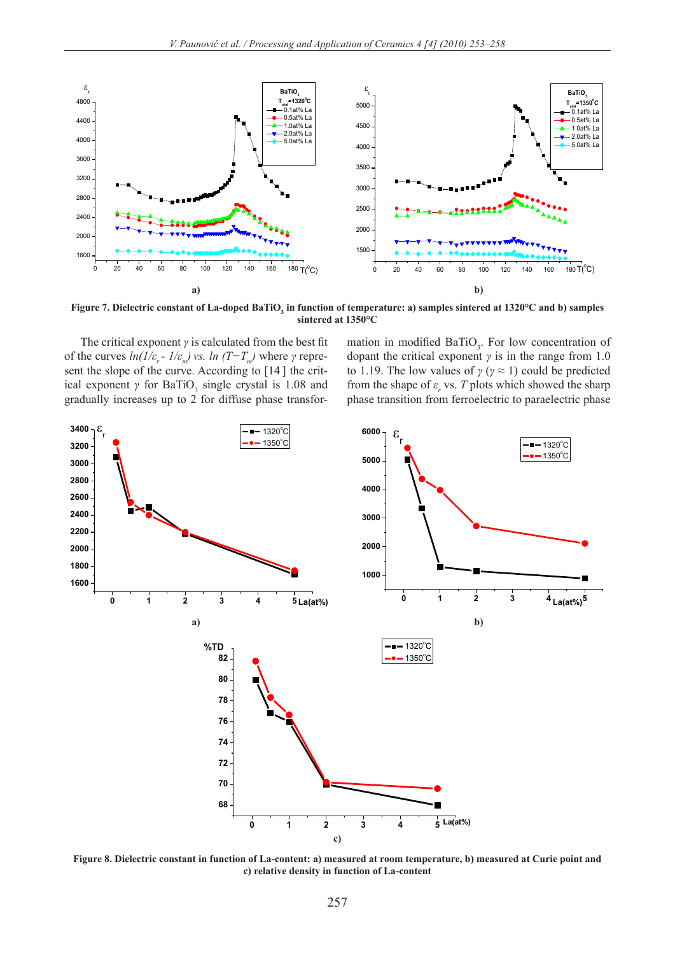

**Figure 7. Dielectric constant of La-doped BaTiO<sub>3</sub> in function of temperature: a) samples sintered at 1320°C and b) samples sintered at 1350°C sintered at 1350°C**

The critical exponent  $\gamma$  is calculated from the best fit of the curves  $ln(1/\varepsilon_r - 1/\varepsilon_m)$  *vs.*  $ln(T - T_m)$  where  $\gamma$  represent the slope of the curve. According to [14 ] the critical exponent  $\gamma$  for BaTiO<sub>3</sub> single crystal is 1.08 and gradually increases up to 2 for diffuse phase transfor-

mation in modified BaTiO<sub>3</sub>. For low concentration of be-<br>dopant the critical exponent  $\gamma$  is in the range from 1.0 to 1.19. The low values of  $\gamma$  ( $\gamma \approx 1$ ) could be predicted from the shape of  $\varepsilon_r$  vs. *T* plots which showed the sharp release transition from formal other to normal other phase. phase transition from ferroelectric to paraelectric phase



**c**) relative density in function of La-content